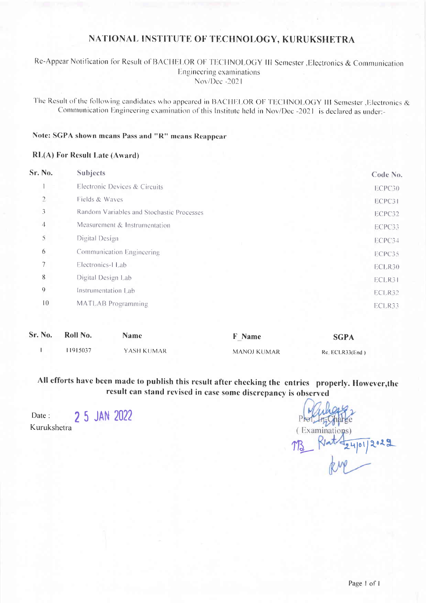# NATIONAL INSTITUTE OF TECHNOLOGY, KURUKSHETRA

## Re-Appear Notification for Result of BACHELOR OF TECHNOLOGY III Semester , Electronics & Communication Engineering examinations Nov/Dec-2021

The Result of the following candidates who appeared in BACHELOR OF TECHNOLOGY III Semester , Electronics & Communication Engineering examination of this Institute held in Nov/Dec-2021 is declared as under:-

## Note: SGPA shown means Pass and "R" means Reappear

#### **RL(A)** For Result Late (Award)

| Sr. No.         | <b>Subjects</b>                           | Code No. |
|-----------------|-------------------------------------------|----------|
|                 | Electronic Devices & Circuits             | ECPC30   |
| $\overline{a}$  | Fields & Waves                            | ECPC31   |
| 3               | Random Variables and Stochastic Processes | ECPC32   |
| 4               | Measurement & Instrumentation             | ECPC33   |
| 5               | Digital Design                            | ECPC34   |
| 6               | Communication Engineering                 | ECPC35   |
| 7               | Electronics-I Lab                         | ECLR30   |
| 8               | Digital Design Lab                        | ECLR31   |
| $\mathbf 0$     | Instrumentation Lab                       | ECLR32   |
| $\overline{10}$ | <b>MATLAB</b> Programming                 | ECLR33   |

| Sr. No. | Roll No. | Name       | <b>F</b> Name      | <b>SGPA</b>     |
|---------|----------|------------|--------------------|-----------------|
|         | 1915037  | YASH KUMAR | <b>MANOJ KUMAR</b> | Re. ECLR33(End) |

All efforts have been made to publish this result after checking the entries properly. However, the result can stand revised in case some discrepancy is observed

2 5 JAN 2022 Date: Kurukshetra

Examinatio  $1941012029$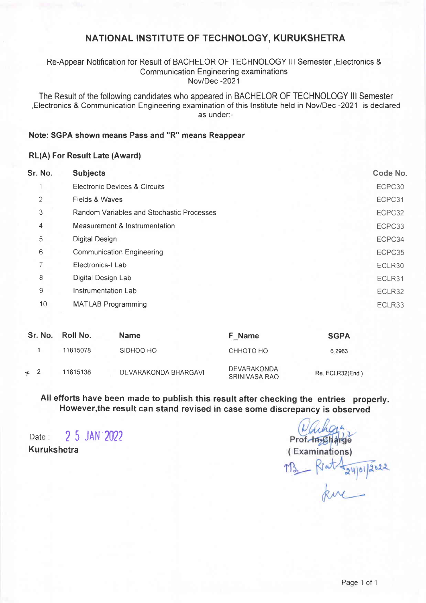# NATIONAL INSTITUTE OF TECHNOLOGY, KURUKSHETRA

#### Re-Appear Notification for Result of BACHELOR OF TECHNOLOGY lll Semester,Electronics & Communication Engineering examinations Nov/Dec -2021

The Result of the following candidates who appeared in BACHELOR OF TECHNOLOGY lll Semester ,Electronics & Communication Engineering examination of this lnstitute held in Nov/Dec -2021 is declared as under:-

#### Note: SGPA shown means Pass and "R" means Reappear

#### RL(A) For Result Late (Award)

| Sr. No.        | <b>Subjects</b>                           | Code No. |
|----------------|-------------------------------------------|----------|
| 1              | Electronic Devices & Circuits             | ECPC30   |
| $\mathbf{2}$   | Fields & Waves                            | ECPC31   |
| 3              | Random Variables and Stochastic Processes | ECPC32   |
| $\overline{4}$ | Measurement & Instrumentation             | ECPC33   |
| 5              | <b>Digital Design</b>                     | ECPC34   |
| 6              | <b>Communication Engineering</b>          | ECPC35   |
| 7              | Electronics-I Lab                         | ECLR30   |
| 8              | Digital Design Lab                        | ECLR31   |
| 9              | Instrumentation Lab                       | ECLR32   |
| 10             | <b>MATLAB Programming</b>                 | ECLR33   |
|                |                                           |          |

|           | Sr. No. Roll No. | <b>Name</b>          | F Name                              | <b>SGPA</b>     |
|-----------|------------------|----------------------|-------------------------------------|-----------------|
|           | 11815078         | SIDHOO HO            | СННОТО НО                           | 6.2963          |
| $\star$ 2 | 11815138         | DEVARAKONDA BHARGAVI | <b>DEVARAKONDA</b><br>SRINIVASA RAO | Re. ECLR32(End) |

All efforts have been made to publish this result after checking the entries properly. However,the result can stand revised in case some discrepancy is observed

Date: 2 5 JAN 2022 Kurukshetra

Prof. In Charge (Examinations) M3\_ Rent Layponasse